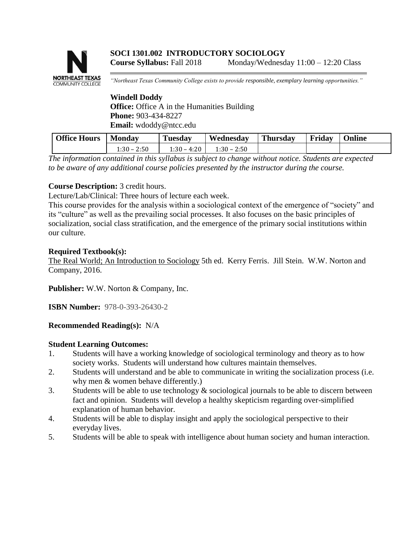# **NORTHEAST TEXAS COMMUNITY COLLEGE**

*"Northeast Texas Community College exists to provide responsible, exemplary learning opportunities."*

### **Windell Doddy Office:** Office A in the Humanities Building **Phone:** 903-434-8227 **Email:** wdoddy@ntcc.edu

| <b>Office Hours</b> | Monday           | m<br>l'uesdav | Wednesday        | <b>Thursday</b> | Friday | <b>Online</b> |
|---------------------|------------------|---------------|------------------|-----------------|--------|---------------|
|                     | 2:50<br>1:30 – ∂ | 1:30 – 4:20   | 2:50<br>$1.30 -$ |                 |        |               |

*The information contained in this syllabus is subject to change without notice. Students are expected to be aware of any additional course policies presented by the instructor during the course.*

# **Course Description:** 3 credit hours.

Lecture/Lab/Clinical: Three hours of lecture each week.

This course provides for the analysis within a sociological context of the emergence of "society" and its "culture" as well as the prevailing social processes. It also focuses on the basic principles of socialization, social class stratification, and the emergence of the primary social institutions within our culture.

## **Required Textbook(s):**

The Real World; An Introduction to Sociology 5th ed. Kerry Ferris. Jill Stein. W.W. Norton and Company, 2016.

**Publisher:** W.W. Norton & Company, Inc.

**ISBN Number:** 978-0-393-26430-2

## **Recommended Reading(s):** N/A

## **Student Learning Outcomes:**

- 1. Students will have a working knowledge of sociological terminology and theory as to how society works. Students will understand how cultures maintain themselves.
- 2. Students will understand and be able to communicate in writing the socialization process (i.e. why men & women behave differently.)
- 3. Students will be able to use technology  $\&$  sociological journals to be able to discern between fact and opinion. Students will develop a healthy skepticism regarding over-simplified explanation of human behavior.
- 4. Students will be able to display insight and apply the sociological perspective to their everyday lives.
- 5. Students will be able to speak with intelligence about human society and human interaction.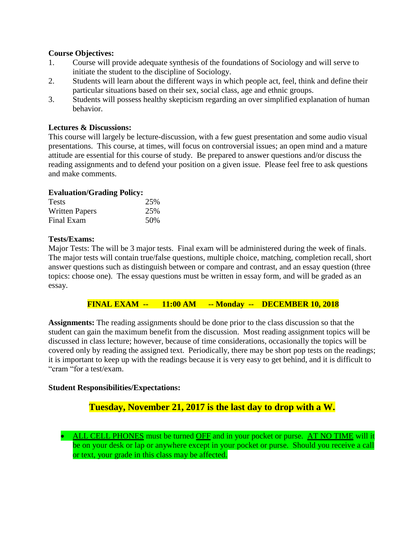#### **Course Objectives:**

- 1. Course will provide adequate synthesis of the foundations of Sociology and will serve to initiate the student to the discipline of Sociology.
- 2. Students will learn about the different ways in which people act, feel, think and define their particular situations based on their sex, social class, age and ethnic groups.
- 3. Students will possess healthy skepticism regarding an over simplified explanation of human behavior.

#### **Lectures & Discussions:**

This course will largely be lecture-discussion, with a few guest presentation and some audio visual presentations. This course, at times, will focus on controversial issues; an open mind and a mature attitude are essential for this course of study. Be prepared to answer questions and/or discuss the reading assignments and to defend your position on a given issue. Please feel free to ask questions and make comments.

#### **Evaluation/Grading Policy:**

| <b>Tests</b>          | 25% |
|-----------------------|-----|
| <b>Written Papers</b> | 25% |
| Final Exam            | 50% |

#### **Tests/Exams:**

Major Tests: The will be 3 major tests. Final exam will be administered during the week of finals. The major tests will contain true/false questions, multiple choice, matching, completion recall, short answer questions such as distinguish between or compare and contrast, and an essay question (three topics: choose one). The essay questions must be written in essay form, and will be graded as an essay.

#### **FINAL EXAM -- 11:00 AM -- Monday -- DECEMBER 10, 2018**

**Assignments:** The reading assignments should be done prior to the class discussion so that the student can gain the maximum benefit from the discussion. Most reading assignment topics will be discussed in class lecture; however, because of time considerations, occasionally the topics will be covered only by reading the assigned text. Periodically, there may be short pop tests on the readings; it is important to keep up with the readings because it is very easy to get behind, and it is difficult to "cram "for a test/exam.

#### **Student Responsibilities/Expectations:**

# **Tuesday, November 21, 2017 is the last day to drop with a W.**

• ALL CELL PHONES must be turned OFF and in your pocket or purse. AT NO TIME will it be on your desk or lap or anywhere except in your pocket or purse. Should you receive a call or text, your grade in this class may be affected.